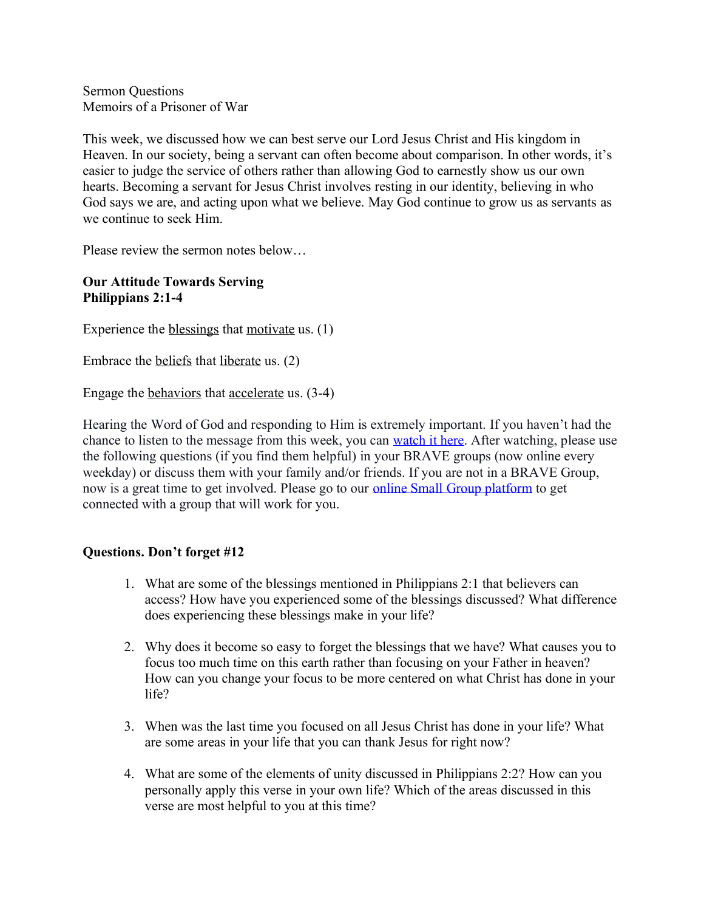Sermon Questions Memoirs of a Prisoner of War

This week, we discussed how we can best serve our Lord Jesus Christ and His kingdom in Heaven. In our society, being a servant can often become about comparison. In other words, it's easier to judge the service of others rather than allowing God to earnestly show us our own hearts. Becoming a servant for Jesus Christ involves resting in our identity, believing in who God says we are, and acting upon what we believe. May God continue to grow us as servants as we continue to seek Him.

Please review the sermon notes below…

## **Our Attitude Towards Serving Philippians 2:1-4**

Experience the blessings that motivate us. (1)

Embrace the beliefs that liberate us. (2)

Engage the behaviors that accelerate us. (3-4)

Hearing the Word of God and responding to Him is extremely important. If you haven't had the chance to listen to the message from this week, you can [watch it here.](https://bravechurch.co/sermons/) After watching, please use the following questions (if you find them helpful) in your BRAVE groups (now online every weekday) or discuss them with your family and/or friends. If you are not in a BRAVE Group, now is a great time to get involved. Please go to our [online Small Group platform](https://my.bravechurch.co/groupfinder) to get connected with a group that will work for you.

## **Questions. Don't forget #12**

- 1. What are some of the blessings mentioned in Philippians 2:1 that believers can access? How have you experienced some of the blessings discussed? What difference does experiencing these blessings make in your life?
- 2. Why does it become so easy to forget the blessings that we have? What causes you to focus too much time on this earth rather than focusing on your Father in heaven? How can you change your focus to be more centered on what Christ has done in your life?
- 3. When was the last time you focused on all Jesus Christ has done in your life? What are some areas in your life that you can thank Jesus for right now?
- 4. What are some of the elements of unity discussed in Philippians 2:2? How can you personally apply this verse in your own life? Which of the areas discussed in this verse are most helpful to you at this time?